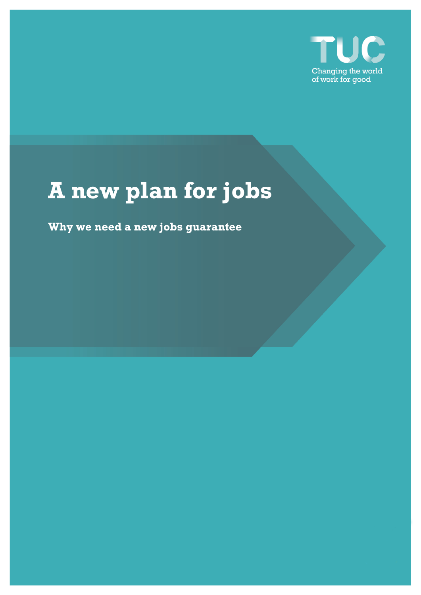

# **A new plan for jobs**

**Why we need a new jobs guarantee**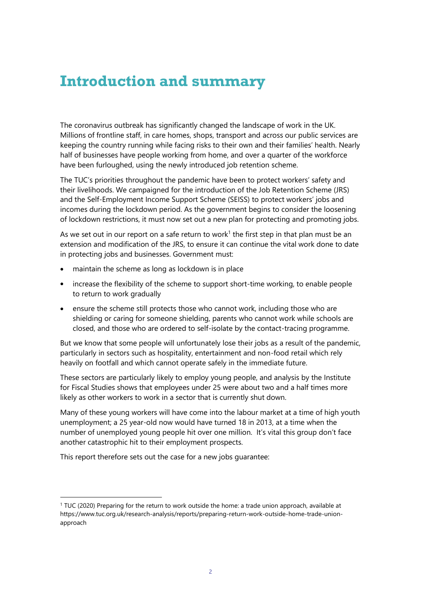## **Introduction and summary**

The coronavirus outbreak has significantly changed the landscape of work in the UK. Millions of frontline staff, in care homes, shops, transport and across our public services are keeping the country running while facing risks to their own and their families' health. Nearly half of businesses have people working from home, and over a quarter of the workforce have been furloughed, using the newly introduced job retention scheme.

The TUC's priorities throughout the pandemic have been to protect workers' safety and their livelihoods. We campaigned for the introduction of the Job Retention Scheme (JRS) and the Self-Employment Income Support Scheme (SEISS) to protect workers' jobs and incomes during the lockdown period. As the government begins to consider the loosening of lockdown restrictions, it must now set out a new plan for protecting and promoting jobs.

As we set out in our report on a safe return to work<sup>1</sup> the first step in that plan must be an extension and modification of the JRS, to ensure it can continue the vital work done to date in protecting jobs and businesses. Government must:

- maintain the scheme as long as lockdown is in place
- increase the flexibility of the scheme to support short-time working, to enable people to return to work gradually
- ensure the scheme still protects those who cannot work, including those who are shielding or caring for someone shielding, parents who cannot work while schools are closed, and those who are ordered to self-isolate by the contact-tracing programme.

But we know that some people will unfortunately lose their jobs as a result of the pandemic, particularly in sectors such as hospitality, entertainment and non-food retail which rely heavily on footfall and which cannot operate safely in the immediate future.

These sectors are particularly likely to employ young people, and analysis by the Institute for Fiscal Studies shows that employees under 25 were about two and a half times more likely as other workers to work in a sector that is currently shut down.

Many of these young workers will have come into the labour market at a time of high youth unemployment; a 25 year-old now would have turned 18 in 2013, at a time when the number of unemployed young people hit over one million. It's vital this group don't face another catastrophic hit to their employment prospects.

This report therefore sets out the case for a new jobs guarantee:

<sup>1</sup> TUC (2020) Preparing for the return to work outside the home: a trade union approach, available at [https://www.tuc.org.uk/research-analysis/reports/preparing-return-work-outside-home-trade-union](https://www.tuc.org.uk/research-analysis/reports/preparing-return-work-outside-home-trade-union-approach)[approach](https://www.tuc.org.uk/research-analysis/reports/preparing-return-work-outside-home-trade-union-approach)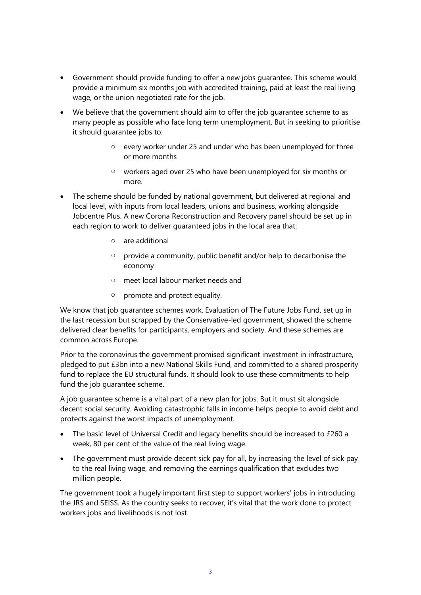- Government should provide funding to offer a new jobs guarantee. This scheme would provide a minimum six months job with accredited training, paid at least the real living wage, or the union negotiated rate for the job.
- We believe that the government should aim to offer the job guarantee scheme to as many people as possible who face long term unemployment. But in seeking to prioritise it should guarantee jobs to:
	- o every worker under 25 and under who has been unemployed for three or more months
	- o workers aged over 25 who have been unemployed for six months or more.
- The scheme should be funded by national government, but delivered at regional and local level, with inputs from local leaders, unions and business, working alongside Jobcentre Plus. A new Corona Reconstruction and Recovery panel should be set up in each region to work to deliver guaranteed jobs in the local area that:
	- o are additional
	- $\circ$  provide a community, public benefit and/or help to decarbonise the economy
	- o meet local labour market needs and
	- o promote and protect equality.

We know that job guarantee schemes work. Evaluation of The Future Jobs Fund, set up in the last recession but scrapped by the Conservative-led government, showed the scheme delivered clear benefits for participants, employers and society. And these schemes are common across Europe.

Prior to the coronavirus the government promised significant investment in infrastructure, pledged to put £3bn into a new National Skills Fund, and committed to a shared prosperity fund to replace the EU structural funds. It should look to use these commitments to help fund the job guarantee scheme.

A job guarantee scheme is a vital part of a new plan for jobs. But it must sit alongside decent social security. Avoiding catastrophic falls in income helps people to avoid debt and protects against the worst impacts of unemployment.

- The basic level of Universal Credit and legacy benefits should be increased to £260 a week, 80 per cent of the value of the real living wage.
- The government must provide decent sick pay for all, by increasing the level of sick pay to the real living wage, and removing the earnings qualification that excludes two million people.

The government took a hugely important first step to support workers' jobs in introducing the JRS and SEISS. As the country seeks to recover, it's vital that the work done to protect workers jobs and livelihoods is not lost.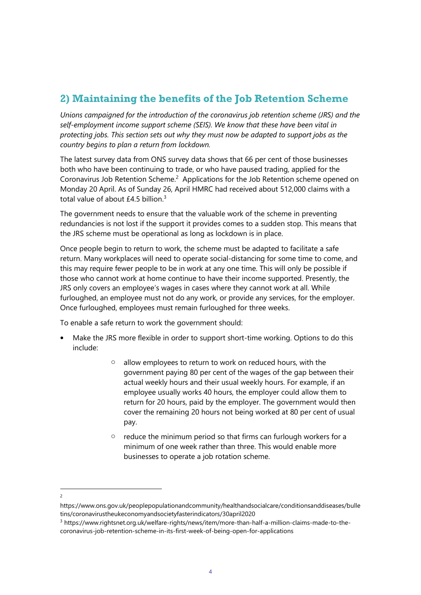## **2) Maintaining the benefits of the Job Retention Scheme**

*Unions campaigned for the introduction of the coronavirus job retention scheme (JRS) and the self-employment income support scheme (SEIS). We know that these have been vital in protecting jobs. This section sets out why they must now be adapted to support jobs as the country begins to plan a return from lockdown.*

The latest survey data from ONS survey data shows that 66 per cent of those businesses both who have been continuing to trade, or who have paused trading, applied for the Coronavirus Job Retention Scheme.<sup>2</sup> Applications for the Job Retention scheme opened on Monday 20 April. As of Sunday 26, April HMRC had received about 512,000 claims with a total value of about  $£4.5$  billion.<sup>3</sup>

The government needs to ensure that the valuable work of the scheme in preventing redundancies is not lost if the support it provides comes to a sudden stop. This means that the JRS scheme must be operational as long as lockdown is in place.

Once people begin to return to work, the scheme must be adapted to facilitate a safe return. Many workplaces will need to operate social-distancing for some time to come, and this may require fewer people to be in work at any one time. This will only be possible if those who cannot work at home continue to have their income supported. Presently, the JRS only covers an employee's wages in cases where they cannot work at all. While furloughed, an employee must not do any work, or provide any services, for the employer. Once furloughed, employees must remain furloughed for three weeks.

To enable a safe return to work the government should:

- Make the JRS more flexible in order to support short-time working. Options to do this include:
	- o allow employees to return to work on reduced hours, with the government paying 80 per cent of the wages of the gap between their actual weekly hours and their usual weekly hours. For example, if an employee usually works 40 hours, the employer could allow them to return for 20 hours, paid by the employer. The government would then cover the remaining 20 hours not being worked at 80 per cent of usual pay.
	- o reduce the minimum period so that firms can furlough workers for a minimum of one week rather than three. This would enable more businesses to operate a job rotation scheme.
- $\overline{2}$

https://www.ons.gov.uk/peoplepopulationandcommunity/healthandsocialcare/conditionsanddiseases/bulle tins/coronavirustheukeconomyandsocietyfasterindicators/30april2020

<sup>3</sup> https://www.rightsnet.org.uk/welfare-rights/news/item/more-than-half-a-million-claims-made-to-thecoronavirus-job-retention-scheme-in-its-first-week-of-being-open-for-applications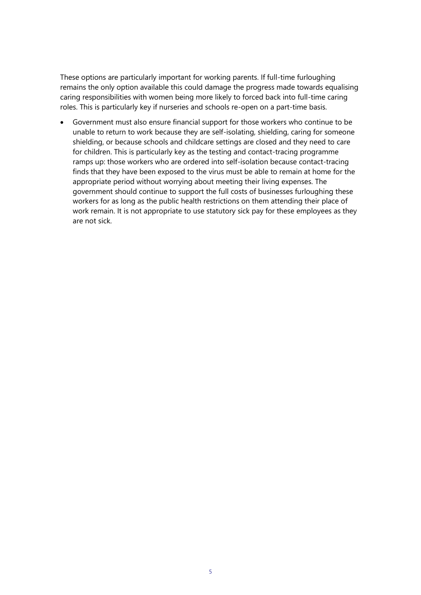These options are particularly important for working parents. If full-time furloughing remains the only option available this could damage the progress made towards equalising caring responsibilities with women being more likely to forced back into full-time caring roles. This is particularly key if nurseries and schools re-open on a part-time basis.

• Government must also ensure financial support for those workers who continue to be unable to return to work because they are self-isolating, shielding, caring for someone shielding, or because schools and childcare settings are closed and they need to care for children. This is particularly key as the testing and contact-tracing programme ramps up: those workers who are ordered into self-isolation because contact-tracing finds that they have been exposed to the virus must be able to remain at home for the appropriate period without worrying about meeting their living expenses. The government should continue to support the full costs of businesses furloughing these workers for as long as the public health restrictions on them attending their place of work remain. It is not appropriate to use statutory sick pay for these employees as they are not sick.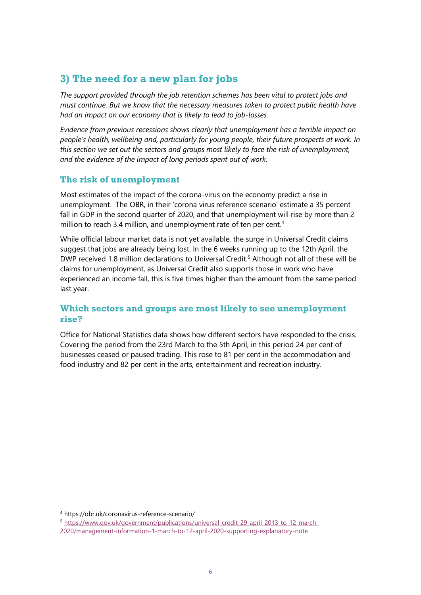## **3) The need for a new plan for jobs**

*The support provided through the job retention schemes has been vital to protect jobs and must continue. But we know that the necessary measures taken to protect public health have had an impact on our economy that is likely to lead to job-losses.* 

*Evidence from previous recessions shows clearly that unemployment has a terrible impact on people's health, wellbeing and, particularly for young people, their future prospects at work. In this section we set out the sectors and groups most likely to face the risk of unemployment, and the evidence of the impact of long periods spent out of work.* 

## **The risk of unemployment**

Most estimates of the impact of the corona-virus on the economy predict a rise in unemployment. The OBR, in their 'corona virus reference scenario' estimate a 35 percent fall in GDP in the second quarter of 2020, and that unemployment will rise by more than 2 million to reach 3.4 million, and unemployment rate of ten per cent.<sup>4</sup>

While official labour market data is not yet available, the surge in Universal Credit claims suggest that jobs are already being lost. In the 6 weeks running up to the 12th April, the DWP received 1.8 million declarations to Universal Credit.<sup>5</sup> Although not all of these will be claims for unemployment, as Universal Credit also supports those in work who have experienced an income fall, this is five times higher than the amount from the same period last year.

## **Which sectors and groups are most likely to see unemployment rise?**

Office for National Statistics data shows how different sectors have responded to the crisis. Covering the period from the 23rd March to the 5th April, in this period 24 per cent of businesses ceased or paused trading. This rose to 81 per cent in the accommodation and food industry and 82 per cent in the arts, entertainment and recreation industry.

<sup>4</sup> https://obr.uk/coronavirus-reference-scenario/

<sup>5</sup> [https://www.gov.uk/government/publications/universal-credit-29-april-2013-to-12-march-](https://www.gov.uk/government/publications/universal-credit-29-april-2013-to-12-march-2020/management-information-1-march-to-12-april-2020-supporting-explanatory-note)[2020/management-information-1-march-to-12-april-2020-supporting-explanatory-note](https://www.gov.uk/government/publications/universal-credit-29-april-2013-to-12-march-2020/management-information-1-march-to-12-april-2020-supporting-explanatory-note)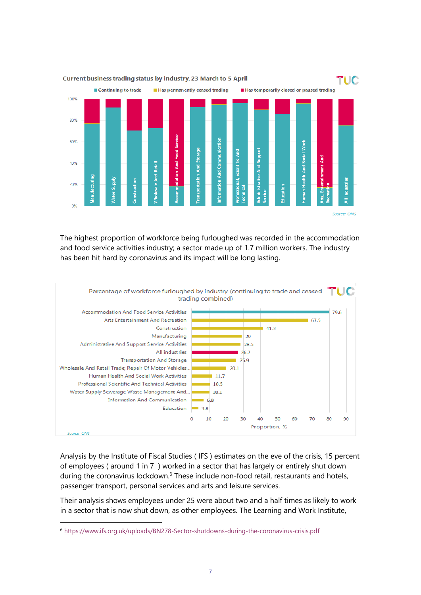

The highest proportion of workforce being furloughed was recorded in the accommodation and food service activities industry; a sector made up of 1.7 million workers. The industry has been hit hard by coronavirus and its impact will be long lasting.



Analysis by the Institute of Fiscal Studies ( IFS ) estimates on the eve of the crisis, 15 percent of employees ( around 1 in 7 ) worked in a sector that has largely or entirely shut down during the coronavirus lockdown.<sup>6</sup> These include non-food retail, restaurants and hotels, passenger transport, personal services and arts and leisure services.

Their analysis shows employees under 25 were about two and a half times as likely to work in a sector that is now shut down, as other employees. The Learning and Work Institute,

<sup>6</sup> <https://www.ifs.org.uk/uploads/BN278-Sector-shutdowns-during-the-coronavirus-crisis.pdf>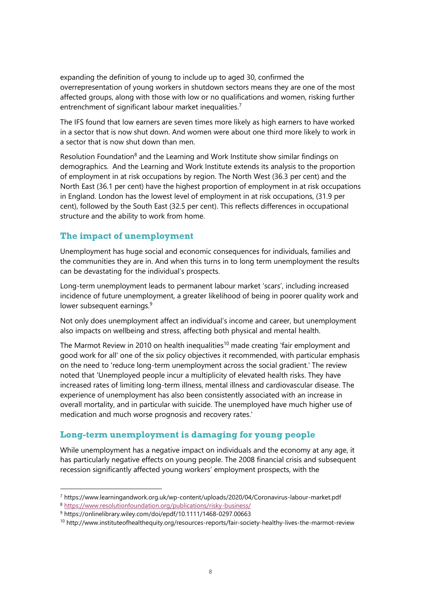expanding the definition of young to include up to aged 30, confirmed the overrepresentation of young workers in shutdown sectors means they are one of the most affected groups, along with those with low or no qualifications and women, risking further entrenchment of significant labour market inequalities.<sup>7</sup>

The IFS found that low earners are seven times more likely as high earners to have worked in a sector that is now shut down. And women were about one third more likely to work in a sector that is now shut down than men.

Resolution Foundation<sup>8</sup> and the Learning and Work Institute show similar findings on demographics. And the Learning and Work Institute extends its analysis to the proportion of employment in at risk occupations by region. The North West (36.3 per cent) and the North East (36.1 per cent) have the highest proportion of employment in at risk occupations in England. London has the lowest level of employment in at risk occupations, (31.9 per cent), followed by the South East (32.5 per cent). This reflects differences in occupational structure and the ability to work from home.

## **The impact of unemployment**

Unemployment has huge social and economic consequences for individuals, families and the communities they are in. And when this turns in to long term unemployment the results can be devastating for the individual's prospects.

Long-term unemployment leads to permanent labour market 'scars', including increased incidence of future unemployment, a greater likelihood of being in poorer quality work and lower subsequent earnings.<sup>9</sup>

Not only does unemployment affect an individual's income and career, but unemployment also impacts on wellbeing and stress, affecting both physical and mental health.

The Marmot Review in 2010 on health inequalities<sup>10</sup> made creating 'fair employment and good work for all' one of the six policy objectives it recommended, with particular emphasis on the need to 'reduce long-term unemployment across the social gradient.' The review noted that 'Unemployed people incur a multiplicity of elevated health risks. They have increased rates of limiting long-term illness, mental illness and cardiovascular disease. The experience of unemployment has also been consistently associated with an increase in overall mortality, and in particular with suicide. The unemployed have much higher use of medication and much worse prognosis and recovery rates.'

#### **Long-term unemployment is damaging for young people**

While unemployment has a negative impact on individuals and the economy at any age, it has particularly negative effects on young people. The 2008 financial crisis and subsequent recession significantly affected young workers' employment prospects, with the

<sup>7</sup> https://www.learningandwork.org.uk/wp-content/uploads/2020/04/Coronavirus-labour-market.pdf

<sup>8</sup> <https://www.resolutionfoundation.org/publications/risky-business/>

<sup>9</sup> https://onlinelibrary.wiley.com/doi/epdf/10.1111/1468-0297.00663

<sup>10</sup> http://www.instituteofhealthequity.org/resources-reports/fair-society-healthy-lives-the-marmot-review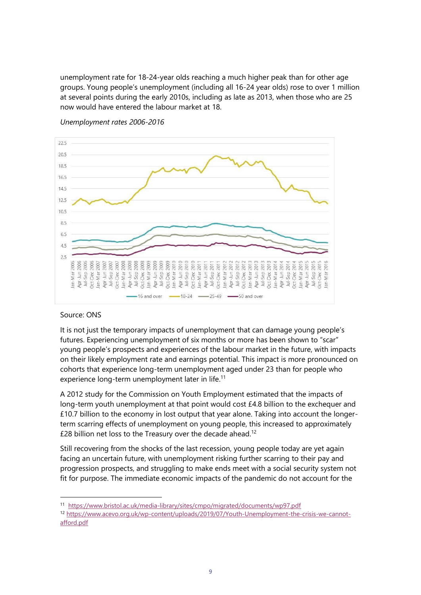unemployment rate for 18-24-year olds reaching a much higher peak than for other age groups. Young people's unemployment (including all 16-24 year olds) rose to over 1 million at several points during the early 2010s, including as late as 2013, when those who are 25 now would have entered the labour market at 18.



*Unemployment rates 2006-2016*

#### Source: ONS

It is not just the temporary impacts of unemployment that can damage young people's futures. Experiencing unemployment of six months or more has been shown to "scar" young people's prospects and experiences of the labour market in the future, with impacts on their likely employment rate and earnings potential. This impact is more pronounced on cohorts that experience long-term unemployment aged under 23 than for people who experience long-term unemployment later in life.<sup>11</sup>

A 2012 study for the Commission on Youth Employment estimated that the impacts of long-term youth unemployment at that point would cost £4.8 billion to the exchequer and £10.7 billion to the economy in lost output that year alone. Taking into account the longerterm scarring effects of unemployment on young people, this increased to approximately £28 billion net loss to the Treasury over the decade ahead.<sup>12</sup>

Still recovering from the shocks of the last recession, young people today are yet again facing an uncertain future, with unemployment risking further scarring to their pay and progression prospects, and struggling to make ends meet with a social security system not fit for purpose. The immediate economic impacts of the pandemic do not account for the

<sup>11</sup> <https://www.bristol.ac.uk/media-library/sites/cmpo/migrated/documents/wp97.pdf>

<sup>12</sup> [https://www.acevo.org.uk/wp-content/uploads/2019/07/Youth-Unemployment-the-crisis-we-cannot](https://www.acevo.org.uk/wp-content/uploads/2019/07/Youth-Unemployment-the-crisis-we-cannot-afford.pdf)[afford.pdf](https://www.acevo.org.uk/wp-content/uploads/2019/07/Youth-Unemployment-the-crisis-we-cannot-afford.pdf)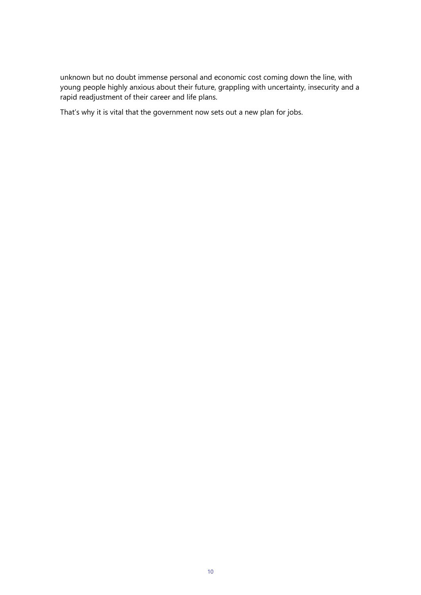unknown but no doubt immense personal and economic cost coming down the line, with young people highly anxious about their future, grappling with uncertainty, insecurity and a rapid readjustment of their career and life plans.

That's why it is vital that the government now sets out a new plan for jobs.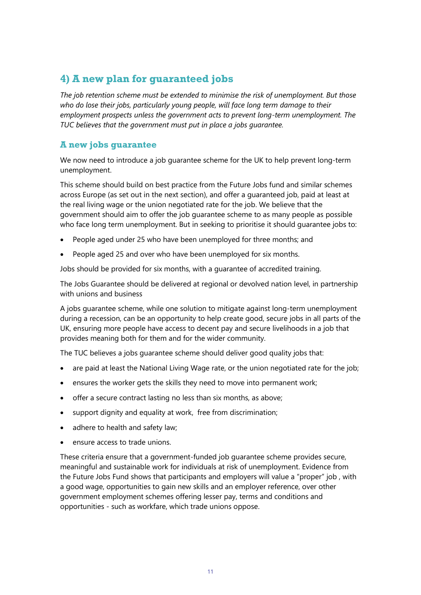## **4) A new plan for guaranteed jobs**

*The job retention scheme must be extended to minimise the risk of unemployment. But those who do lose their jobs, particularly young people, will face long term damage to their employment prospects unless the government acts to prevent long-term unemployment. The TUC believes that the government must put in place a jobs guarantee.* 

## **A new jobs guarantee**

We now need to introduce a job guarantee scheme for the UK to help prevent long-term unemployment.

This scheme should build on best practice from the Future Jobs fund and similar schemes across Europe (as set out in the next section), and offer a guaranteed job, paid at least at the real living wage or the union negotiated rate for the job. We believe that the government should aim to offer the job guarantee scheme to as many people as possible who face long term unemployment. But in seeking to prioritise it should guarantee jobs to:

- People aged under 25 who have been unemployed for three months; and
- People aged 25 and over who have been unemployed for six months.

Jobs should be provided for six months, with a guarantee of accredited training.

The Jobs Guarantee should be delivered at regional or devolved nation level, in partnership with unions and business

A jobs guarantee scheme, while one solution to mitigate against long-term unemployment during a recession, can be an opportunity to help create good, secure jobs in all parts of the UK, ensuring more people have access to decent pay and secure livelihoods in a job that provides meaning both for them and for the wider community.

The TUC believes a jobs guarantee scheme should deliver good quality jobs that:

- are paid at least the National Living Wage rate, or the union negotiated rate for the job;
- ensures the worker gets the skills they need to move into permanent work;
- offer a secure contract lasting no less than six months, as above;
- support dignity and equality at work, free from discrimination;
- adhere to health and safety law;
- ensure access to trade unions.

These criteria ensure that a government-funded job guarantee scheme provides secure, meaningful and sustainable work for individuals at risk of unemployment. Evidence from the Future Jobs Fund shows that participants and employers will value a "proper" job , with a good wage, opportunities to gain new skills and an employer reference, over other government employment schemes offering lesser pay, terms and conditions and opportunities - such as workfare, which trade unions oppose.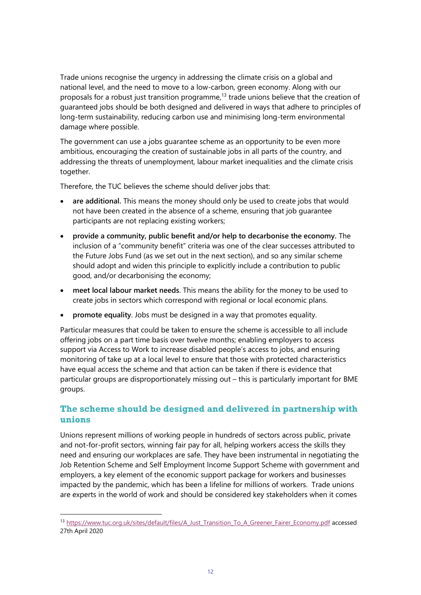Trade unions recognise the urgency in addressing the climate crisis on a global and national level, and the need to move to a low-carbon, green economy. Along with our proposals for a robust just transition programme.<sup>13</sup> trade unions believe that the creation of guaranteed jobs should be both designed and delivered in ways that adhere to principles of long-term sustainability, reducing carbon use and minimising long-term environmental damage where possible.

The government can use a jobs guarantee scheme as an opportunity to be even more ambitious, encouraging the creation of sustainable jobs in all parts of the country, and addressing the threats of unemployment, labour market inequalities and the climate crisis together.

Therefore, the TUC believes the scheme should deliver jobs that:

- are additional. This means the money should only be used to create jobs that would not have been created in the absence of a scheme, ensuring that job guarantee participants are not replacing existing workers;
- **provide a community, public benefit and/or help to decarbonise the economy.** The inclusion of a "community benefit" criteria was one of the clear successes attributed to the Future Jobs Fund (as we set out in the next section), and so any similar scheme should adopt and widen this principle to explicitly include a contribution to public good, and/or decarbonising the economy;
- **meet local labour market needs**. This means the ability for the money to be used to create jobs in sectors which correspond with regional or local economic plans.
- **promote equality**. Jobs must be designed in a way that promotes equality.

Particular measures that could be taken to ensure the scheme is accessible to all include offering jobs on a part time basis over twelve months; enabling employers to access support via Access to Work to increase disabled people's access to jobs, and ensuring monitoring of take up at a local level to ensure that those with protected characteristics have equal access the scheme and that action can be taken if there is evidence that particular groups are disproportionately missing out – this is particularly important for BME groups.

## **The scheme should be designed and delivered in partnership with unions**

Unions represent millions of working people in hundreds of sectors across public, private and not-for-profit sectors, winning fair pay for all, helping workers access the skills they need and ensuring our workplaces are safe. They have been instrumental in negotiating the Job Retention Scheme and Self Employment Income Support Scheme with government and employers, a key element of the economic support package for workers and businesses impacted by the pandemic, which has been a lifeline for millions of workers. Trade unions are experts in the world of work and should be considered key stakeholders when it comes

<sup>13</sup> [https://www.tuc.org.uk/sites/default/files/A\\_Just\\_Transition\\_To\\_A\\_Greener\\_Fairer\\_Economy.pdf](https://www.tuc.org.uk/sites/default/files/A_Just_Transition_To_A_Greener_Fairer_Economy.pdf) accessed 27th April 2020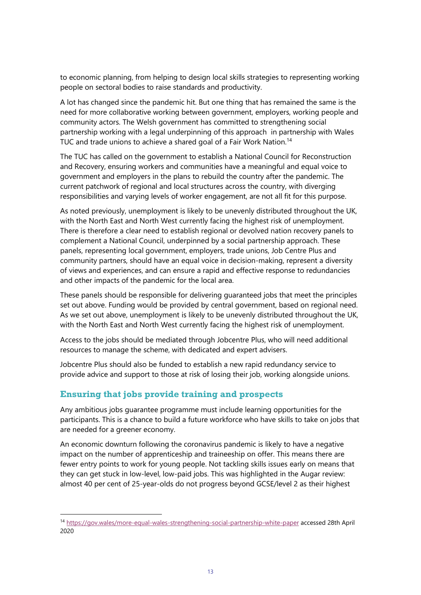to economic planning, from helping to design local skills strategies to representing working people on sectoral bodies to raise standards and productivity.

A lot has changed since the pandemic hit. But one thing that has remained the same is the need for more collaborative working between government, employers, working people and community actors. The Welsh government has committed to strengthening social partnership working with a legal underpinning of this approach in partnership with Wales TUC and trade unions to achieve a shared goal of a Fair Work Nation.<sup>14</sup>

The TUC has called on the government to establish a National Council for Reconstruction and Recovery, ensuring workers and communities have a meaningful and equal voice to government and employers in the plans to rebuild the country after the pandemic. The current patchwork of regional and local structures across the country, with diverging responsibilities and varying levels of worker engagement, are not all fit for this purpose.

As noted previously, unemployment is likely to be unevenly distributed throughout the UK, with the North East and North West currently facing the highest risk of unemployment. There is therefore a clear need to establish regional or devolved nation recovery panels to complement a National Council, underpinned by a social partnership approach. These panels, representing local government, employers, trade unions, Job Centre Plus and community partners, should have an equal voice in decision-making, represent a diversity of views and experiences, and can ensure a rapid and effective response to redundancies and other impacts of the pandemic for the local area.

These panels should be responsible for delivering guaranteed jobs that meet the principles set out above. Funding would be provided by central government, based on regional need. As we set out above, unemployment is likely to be unevenly distributed throughout the UK, with the North East and North West currently facing the highest risk of unemployment.

Access to the jobs should be mediated through Jobcentre Plus, who will need additional resources to manage the scheme, with dedicated and expert advisers.

Jobcentre Plus should also be funded to establish a new rapid redundancy service to provide advice and support to those at risk of losing their job, working alongside unions.

## **Ensuring that jobs provide training and prospects**

Any ambitious jobs guarantee programme must include learning opportunities for the participants. This is a chance to build a future workforce who have skills to take on jobs that are needed for a greener economy.

An economic downturn following the coronavirus pandemic is likely to have a negative impact on the number of apprenticeship and traineeship on offer. This means there are fewer entry points to work for young people. Not tackling skills issues early on means that they can get stuck in low-level, low-paid jobs. This was highlighted in the Augar review: almost 40 per cent of 25-year-olds do not progress beyond GCSE/level 2 as their highest

<sup>14</sup> <https://gov.wales/more-equal-wales-strengthening-social-partnership-white-paper> accessed 28th April 2020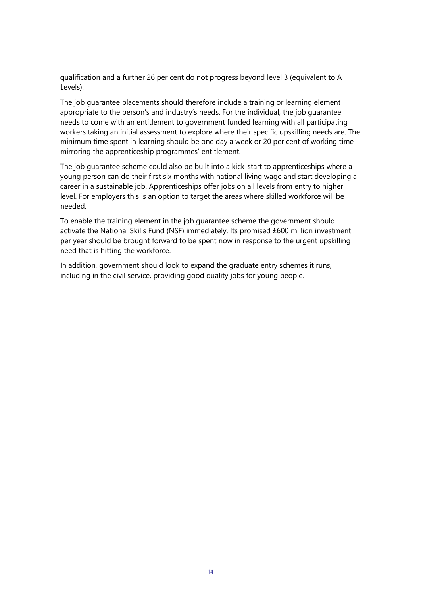qualification and a further 26 per cent do not progress beyond level 3 (equivalent to A Levels).

The job guarantee placements should therefore include a training or learning element appropriate to the person's and industry's needs. For the individual, the job guarantee needs to come with an entitlement to government funded learning with all participating workers taking an initial assessment to explore where their specific upskilling needs are. The minimum time spent in learning should be one day a week or 20 per cent of working time mirroring the apprenticeship programmes' entitlement.

The job guarantee scheme could also be built into a kick-start to apprenticeships where a young person can do their first six months with national living wage and start developing a career in a sustainable job. Apprenticeships offer jobs on all levels from entry to higher level. For employers this is an option to target the areas where skilled workforce will be needed.

To enable the training element in the job guarantee scheme the government should activate the National Skills Fund (NSF) immediately. Its promised £600 million investment per year should be brought forward to be spent now in response to the urgent upskilling need that is hitting the workforce.

In addition, government should look to expand the graduate entry schemes it runs, including in the civil service, providing good quality jobs for young people.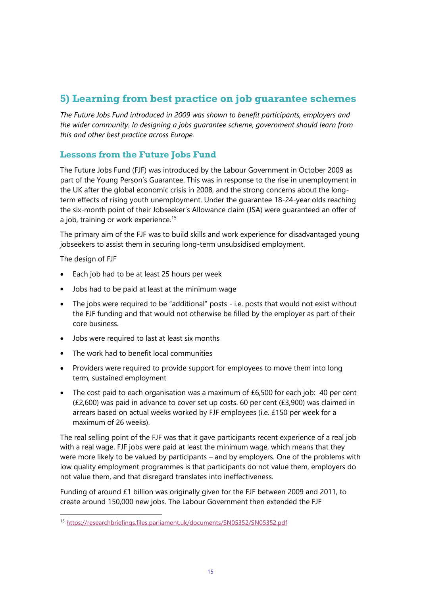## **5) Learning from best practice on job guarantee schemes**

*The Future Jobs Fund introduced in 2009 was shown to benefit participants, employers and the wider community. In designing a jobs guarantee scheme, government should learn from this and other best practice across Europe.*

## **Lessons from the Future Jobs Fund**

The Future Jobs Fund (FJF) was introduced by the Labour Government in October 2009 as part of the Young Person's Guarantee. This was in response to the rise in unemployment in the UK after the global economic crisis in 2008, and the strong concerns about the longterm effects of rising youth unemployment. Under the guarantee 18-24-year olds reaching the six-month point of their Jobseeker's Allowance claim (JSA) were guaranteed an offer of a job, training or work experience.<sup>15</sup>

The primary aim of the FJF was to build skills and work experience for disadvantaged young jobseekers to assist them in securing long-term unsubsidised employment.

The design of FJF

- Each job had to be at least 25 hours per week
- Jobs had to be paid at least at the minimum wage
- The jobs were required to be "additional" posts i.e. posts that would not exist without the FJF funding and that would not otherwise be filled by the employer as part of their core business.
- Jobs were required to last at least six months
- The work had to benefit local communities
- Providers were required to provide support for employees to move them into long term, sustained employment
- The cost paid to each organisation was a maximum of £6,500 for each job: 40 per cent (£2,600) was paid in advance to cover set up costs. 60 per cent (£3,900) was claimed in arrears based on actual weeks worked by FJF employees (i.e. £150 per week for a maximum of 26 weeks).

The real selling point of the FJF was that it gave participants recent experience of a real job with a real wage. FJF jobs were paid at least the minimum wage, which means that they were more likely to be valued by participants – and by employers. One of the problems with low quality employment programmes is that participants do not value them, employers do not value them, and that disregard translates into ineffectiveness.

Funding of around £1 billion was originally given for the FJF between 2009 and 2011, to create around 150,000 new jobs. The Labour Government then extended the FJF

<sup>15</sup> <https://researchbriefings.files.parliament.uk/documents/SN05352/SN05352.pdf>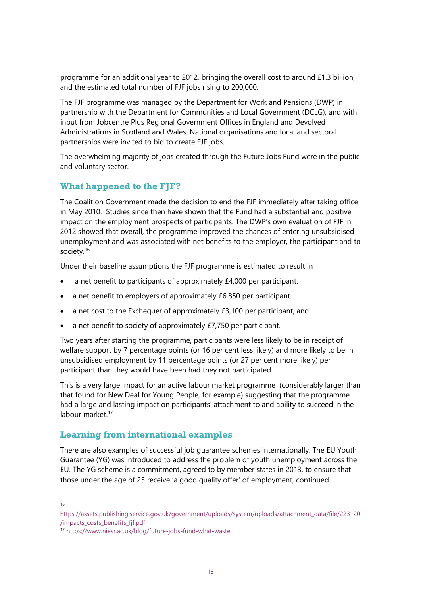programme for an additional year to 2012, bringing the overall cost to around £1.3 billion, and the estimated total number of FJF jobs rising to 200,000.

The FJF programme was managed by the Department for Work and Pensions (DWP) in partnership with the Department for Communities and Local Government (DCLG), and with input from Jobcentre Plus Regional Government Offices in England and Devolved Administrations in Scotland and Wales. National organisations and local and sectoral partnerships were invited to bid to create FJF jobs.

The overwhelming majority of jobs created through the Future Jobs Fund were in the public and voluntary sector.

## **What happened to the FJF?**

The Coalition Government made the decision to end the FJF immediately after taking office in May 2010. Studies since then have shown that the Fund had a substantial and positive impact on the employment prospects of participants. The DWP's own evaluation of FJF in 2012 showed that overall, the programme improved the chances of entering unsubsidised unemployment and was associated with net benefits to the employer, the participant and to society.<sup>16</sup>

Under their baseline assumptions the FJF programme is estimated to result in

- a net benefit to participants of approximately £4,000 per participant.
- a net benefit to employers of approximately £6,850 per participant.
- a net cost to the Exchequer of approximately £3,100 per participant; and
- a net benefit to society of approximately £7,750 per participant.

Two years after starting the programme, participants were less likely to be in receipt of welfare support by 7 percentage points (or 16 per cent less likely) and more likely to be in unsubsidised employment by 11 percentage points (or 27 per cent more likely) per participant than they would have been had they not participated.

This is a very large impact for an active labour market programme (considerably larger than that found for New Deal for Young People, for example) suggesting that the programme had a large and lasting impact on participants' attachment to and ability to succeed in the labour market.<sup>17</sup>

#### **Learning from international examples**

There are also examples of successful job guarantee schemes internationally. The EU Youth Guarantee (YG) was introduced to address the problem of youth unemployment across the EU. The YG scheme is a commitment, agreed to by member states in 2013, to ensure that those under the age of 25 receive 'a good quality offer' of employment, continued

16

[https://assets.publishing.service.gov.uk/government/uploads/system/uploads/attachment\\_data/file/223120](https://assets.publishing.service.gov.uk/government/uploads/system/uploads/attachment_data/file/223120/impacts_costs_benefits_fjf.pdf) [/impacts\\_costs\\_benefits\\_fjf.pdf](https://assets.publishing.service.gov.uk/government/uploads/system/uploads/attachment_data/file/223120/impacts_costs_benefits_fjf.pdf)

<sup>17</sup> <https://www.niesr.ac.uk/blog/future-jobs-fund-what-waste>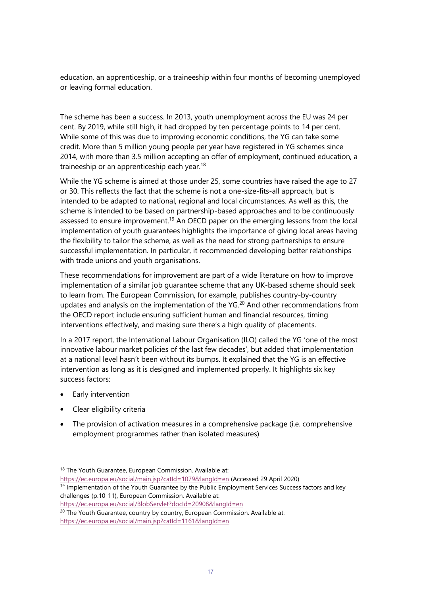education, an apprenticeship, or a traineeship within four months of becoming unemployed or leaving formal education.

The scheme has been a success. In 2013, youth unemployment across the EU was 24 per cent. By 2019, while still high, it had dropped by ten percentage points to 14 per cent. While some of this was due to improving economic conditions, the YG can take some credit. More than 5 million young people per year have registered in YG schemes since 2014, with more than 3.5 million accepting an offer of employment, continued education, a traineeship or an apprenticeship each year.<sup>18</sup>

While the YG scheme is aimed at those under 25, some countries have raised the age to 27 or 30. This reflects the fact that the scheme is not a one-size-fits-all approach, but is intended to be adapted to national, regional and local circumstances. As well as this, the scheme is intended to be based on partnership-based approaches and to be continuously assessed to ensure improvement.<sup>19</sup> An OECD paper on the emerging lessons from the local implementation of youth guarantees highlights the importance of giving local areas having the flexibility to tailor the scheme, as well as the need for strong partnerships to ensure successful implementation. In particular, it recommended developing better relationships with trade unions and youth organisations.

These recommendations for improvement are part of a wide literature on how to improve implementation of a similar job guarantee scheme that any UK-based scheme should seek to learn from. The European Commission, for example, publishes country-by-country updates and analysis on the implementation of the  $YG<sup>20</sup>$  And other recommendations from the OECD report include ensuring sufficient human and financial resources, timing interventions effectively, and making sure there's a high quality of placements.

In a 2017 report, the International Labour Organisation (ILO) called the YG 'one of the most innovative labour market policies of the last few decades', but added that implementation at a national level hasn't been without its bumps. It explained that the YG is an effective intervention as long as it is designed and implemented properly. It highlights six key success factors:

- Early intervention
- Clear eligibility criteria
- The provision of activation measures in a comprehensive package (i.e. comprehensive employment programmes rather than isolated measures)

<https://ec.europa.eu/social/main.jsp?catId=1079&langId=en> (Accessed 29 April 2020) <sup>19</sup> Implementation of the Youth Guarantee by the Public Employment Services Success factors and key challenges (p.10-11), European Commission. Available at:

<https://ec.europa.eu/social/BlobServlet?docId=20908&langId=en>

<sup>20</sup> The Youth Guarantee, country by country, European Commission. Available at: <https://ec.europa.eu/social/main.jsp?catId=1161&langId=en>

<sup>18</sup> The Youth Guarantee, European Commission. Available at: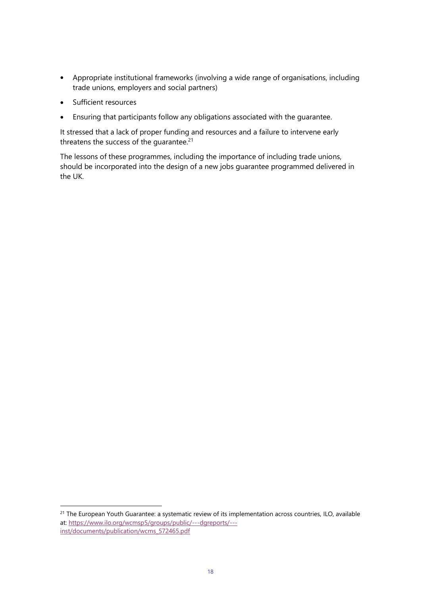- Appropriate institutional frameworks (involving a wide range of organisations, including trade unions, employers and social partners)
- Sufficient resources
- Ensuring that participants follow any obligations associated with the guarantee.

It stressed that a lack of proper funding and resources and a failure to intervene early threatens the success of the quarantee.<sup>21</sup>

The lessons of these programmes, including the importance of including trade unions, should be incorporated into the design of a new jobs guarantee programmed delivered in the UK.

<sup>&</sup>lt;sup>21</sup> The European Youth Guarantee: a systematic review of its implementation across countries, ILO, available at: [https://www.ilo.org/wcmsp5/groups/public/---dgreports/--](https://www.ilo.org/wcmsp5/groups/public/---dgreports/---inst/documents/publication/wcms_572465.pdf) [inst/documents/publication/wcms\\_572465.pdf](https://www.ilo.org/wcmsp5/groups/public/---dgreports/---inst/documents/publication/wcms_572465.pdf)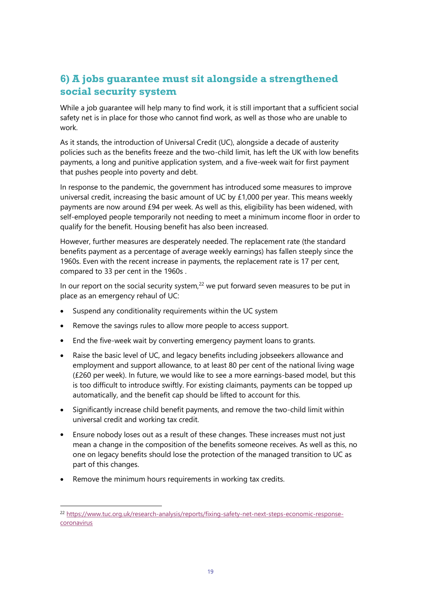## **6) A jobs guarantee must sit alongside a strengthened social security system**

While a job guarantee will help many to find work, it is still important that a sufficient social safety net is in place for those who cannot find work, as well as those who are unable to work.

As it stands, the introduction of Universal Credit (UC), alongside a decade of austerity policies such as the benefits freeze and the two-child limit, has left the UK with low benefits payments, a long and punitive application system, and a five-week wait for first payment that pushes people into poverty and debt.

In response to the pandemic, the government has introduced some measures to improve universal credit, increasing the basic amount of UC by £1,000 per year. This means weekly payments are now around £94 per week. As well as this, eligibility has been widened, with self-employed people temporarily not needing to meet a minimum income floor in order to qualify for the benefit. Housing benefit has also been increased.

However, further measures are desperately needed. The replacement rate (the standard benefits payment as a percentage of average weekly earnings) has fallen steeply since the 1960s. Even with the recent increase in payments, the replacement rate is 17 per cent, compared to 33 per cent in the 1960s .

In our report on the social security system, $22$  we put forward seven measures to be put in place as an emergency rehaul of UC:

- Suspend any conditionality requirements within the UC system
- Remove the savings rules to allow more people to access support.
- End the five-week wait by converting emergency payment loans to grants.
- Raise the basic level of UC, and legacy benefits including jobseekers allowance and employment and support allowance, to at least 80 per cent of the national living wage (£260 per week). In future, we would like to see a more earnings-based model, but this is too difficult to introduce swiftly. For existing claimants, payments can be topped up automatically, and the benefit cap should be lifted to account for this.
- Significantly increase child benefit payments, and remove the two-child limit within universal credit and working tax credit.
- Ensure nobody loses out as a result of these changes. These increases must not just mean a change in the composition of the benefits someone receives. As well as this, no one on legacy benefits should lose the protection of the managed transition to UC as part of this changes.
- Remove the minimum hours requirements in working tax credits.

<sup>22</sup> [https://www.tuc.org.uk/research-analysis/reports/fixing-safety-net-next-steps-economic-response](https://www.tuc.org.uk/research-analysis/reports/fixing-safety-net-next-steps-economic-response-coronavirus)**[coronavirus](https://www.tuc.org.uk/research-analysis/reports/fixing-safety-net-next-steps-economic-response-coronavirus)**